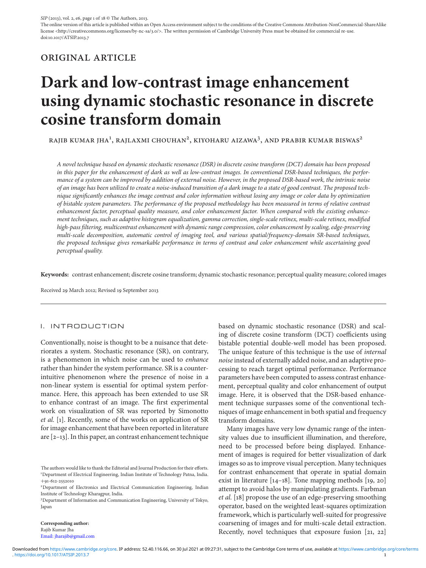The online version of this article is published within an Open Access environment subject to the conditions of the Creative Commons Attribution-NonCommercial-ShareAlike license <http://creativecommons.org/licenses/by-nc-sa/3.0/>. The written permission of Cambridge University Press must be obtained for commercial re-use. doi:10.1017/ATSIP.2013.7

# original article

# **Dark and low-contrast image enhancement using dynamic stochastic resonance in discrete cosine transform domain**

RAJIB KUMAR JHA $^1$ , RAJLAXMI CHOUHAN $^2$ , KIYOHARU AIZAWA $^3$ , AND PRABIR KUMAR BISWAS $^2$ 

A novel technique based on dynamic stochastic resonance (DSR) in discrete cosine transform (DCT) domain has been proposed in this paper for the enhancement of dark as well as low-contrast images. In conventional DSR-based techniques, the performance of a system can be improved by addition of external noise. However, in the proposed DSR-based work, the intrinsic noise of an image has been utilized to create a noise-induced transition of a dark image to a state of good contrast. The proposed technique significantly enhances the image contrast and color information without losing any image or color data by optimization of bistable system parameters. The performance of the proposed methodology has been measured in terms of relative contrast enhancement factor, perceptual quality measure, and color enhancement factor. When compared with the existing enhancement techniques, such as adaptive histogram equalization, gamma correction, single-scale retinex, multi-scale retinex, modified high-pass filtering, multicontrast enhancement with dynamic range compression, color enhancement by scaling, edge-preserving multi-scale decomposition, automatic control of imaging tool, and various spatial/frequency-domain SR-based techniques, the proposed technique gives remarkable performance in terms of contrast and color enhancement while ascertaining good perceptual quality.

**Keywords:** contrast enhancement; discrete cosine transform; dynamic stochastic resonance; perceptual quality measure; colored images

Received 29March 2012; Revised 19September 2013

#### I. INTRODUCTION

Conventionally, noise is thought to be a nuisance that deteriorates a system. Stochastic resonance (SR), on contrary, is a phenomenon in which noise can be used to enhance rather than hinder the system performance. SR is a counterintuitive phenomenon where the presence of noise in a non-linear system is essential for optimal system performance. Here, this approach has been extended to use SR to enhance contrast of an image. The first experimental work on visualization of SR was reported by Simonotto et al. [1]. Recently, some of the works on application of SR for image enhancement that have been reported in literature are [2–13]. In this paper, an contrast enhancement technique

**Corresponding author:** Rajib Kumar Jha Email: jharajib@gmail.com based on dynamic stochastic resonance (DSR) and scaling of discrete cosine transform (DCT) coefficients using bistable potential double-well model has been proposed. The unique feature of this technique is the use of internal noise instead of externally added noise, and an adaptive processing to reach target optimal performance. Performance parameters have been computed to assess contrast enhancement, perceptual quality and color enhancement of output image. Here, it is observed that the DSR-based enhancement technique surpasses some of the conventional techniques of image enhancement in both spatial and frequency transform domains.

Many images have very low dynamic range of the intensity values due to insufficient illumination, and therefore, need to be processed before being displayed. Enhancement of images is required for better visualization of dark images so as to improve visual perception. Many techniques for contrast enhancement that operate in spatial domain exist in literature [14–18]. Tone mapping methods [19, 20] attempt to avoid halos by manipulating gradients. Farbman et al. [18] propose the use of an edge-preserving smoothing operator, based on the weighted least-squares optimization framework, which is particularly well-suited for progressive coarsening of images and for multi-scale detail extraction. Recently, novel techniques that exposure fusion [21, 22]

The authors would like to thank the Editorial and Journal Production for their efforts. <sup>1</sup>Department of Electrical Engineering, Indian Institute of Technology Patna, India. +91-612-2552010

<sup>2</sup>Department of Electronics and Electrical Communication Engineering, Indian Institute of Technology Kharagpur, India.

<sup>3</sup>Department of Information and Communication Engineering, University of Tokyo, Japan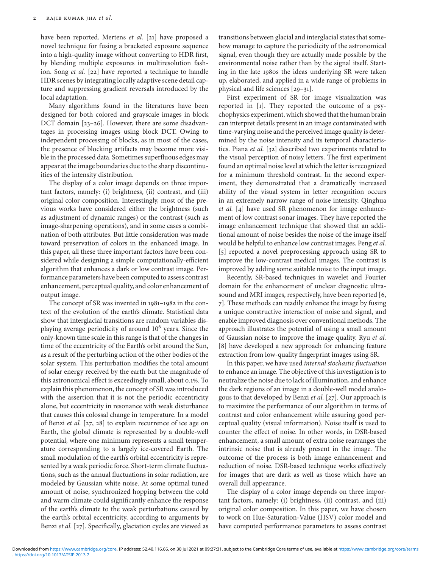have been reported. Mertens et al. [21] have proposed a novel technique for fusing a bracketed exposure sequence into a high-quality image without converting to HDR first, by blending multiple exposures in multiresolution fashion. Song et al. [22] have reported a technique to handle HDR scenes by integrating locally adaptive scene detail capture and suppressing gradient reversals introduced by the local adaptation.

Many algorithms found in the literatures have been designed for both colored and grayscale images in block DCT domain [23–26]. However, there are some disadvantages in processing images using block DCT. Owing to independent processing of blocks, as in most of the cases, the presence of blocking artifacts may become more visible in the processed data. Sometimes superfluous edges may appear at the image boundaries due to the sharp discontinuities of the intensity distribution.

The display of a color image depends on three important factors, namely: (i) brightness, (ii) contrast, and (iii) original color composition. Interestingly, most of the previous works have considered either the brightness (such as adjustment of dynamic ranges) or the contrast (such as image-sharpening operations), and in some cases a combination of both attributes. But little consideration was made toward preservation of colors in the enhanced image. In this paper, all these three important factors have been considered while designing a simple computationally-efficient algorithm that enhances a dark or low contrast image. Performance parameters have been computed to assess contrast enhancement, perceptual quality, and color enhancement of output image.

The concept of SR was invented in 1981–1982 in the context of the evolution of the earth's climate. Statistical data show that interglacial transitions are random variables displaying average periodicity of around 10<sup>6</sup> years. Since the only-known time scale in this range is that of the changes in time of the eccentricity of the Earth's orbit around the Sun, as a result of the perturbing action of the other bodies of the solar system. This perturbation modifies the total amount of solar energy received by the earth but the magnitude of this astronomical effect is exceedingly small, about 0.1%. To explain this phenomenon, the concept of SR was introduced with the assertion that it is not the periodic eccentricity alone, but eccentricity in resonance with weak disturbance that causes this colossal change in temperature. In a model of Benzi et al. [27, 28] to explain recurrence of ice age on Earth, the global climate is represented by a double-well potential, where one minimum represents a small temperature corresponding to a largely ice-covered Earth. The small modulation of the earth's orbital eccentricity is represented by a weak periodic force. Short-term climate fluctuations, such as the annual fluctuations in solar radiation, are modeled by Gaussian white noise. At some optimal tuned amount of noise, synchronized hopping between the cold and warm climate could significantly enhance the response of the earth's climate to the weak perturbations caused by the earth's orbital eccentricity, according to arguments by Benzi et al. [27]. Specifically, glaciation cycles are viewed as

transitions between glacial and interglacial states that somehow manage to capture the periodicity of the astronomical signal, even though they are actually made possible by the environmental noise rather than by the signal itself. Starting in the late 1980s the ideas underlying SR were taken up, elaborated, and applied in a wide range of problems in physical and life sciences [29–31].

First experiment of SR for image visualization was reported in [1]. They reported the outcome of a psychophysics experiment, which showed that the human brain can interpret details present in an image contaminated with time-varying noise and the perceived image quality is determined by the noise intensity and its temporal characteristics. Piana et al. [32] described two experiments related to the visual perception of noisy letters. The first experiment found an optimal noise level at which the letter is recognized for a minimum threshold contrast. In the second experiment, they demonstrated that a dramatically increased ability of the visual system in letter recognition occurs in an extremely narrow range of noise intensity. Qinghua et al. [4] have used SR phenomenon for image enhancement of low contrast sonar images. They have reported the image enhancement technique that showed that an additional amount of noise besides the noise of the image itself would be helpful to enhance low contrast images. Peng et al. [5] reported a novel preprocessing approach using SR to improve the low-contrast medical images. The contrast is improved by adding some suitable noise to the input image.

Recently, SR-based techniques in wavelet and Fourier domain for the enhancement of unclear diagnostic ultrasound and MRI images, respectively, have been reported [6, 7]. These methods can readily enhance the image by fusing a unique constructive interaction of noise and signal, and enable improved diagnosis over conventional methods. The approach illustrates the potential of using a small amount of Gaussian noise to improve the image quality. Ryu et al. [8] have developed a new approach for enhancing feature extraction from low-quality fingerprint images using SR.

In this paper, we have used internal stochastic fluctuation to enhance an image. The objective of this investigation is to neutralize the noise due to lack of illumination, and enhance the dark regions of an image in a double-well model analogous to that developed by Benzi et al. [27]. Our approach is to maximize the performance of our algorithm in terms of contrast and color enhancement while assuring good perceptual quality (visual information). Noise itself is used to counter the effect of noise. In other words, in DSR-based enhancement, a small amount of extra noise rearranges the intrinsic noise that is already present in the image. The outcome of the process is both image enhancement and reduction of noise. DSR-based technique works effectively for images that are dark as well as those which have an overall dull appearance.

The display of a color image depends on three important factors, namely: (i) brightness, (ii) contrast, and (iii) original color composition. In this paper, we have chosen to work on Hue-Saturation-Value (HSV) color model and have computed performance parameters to assess contrast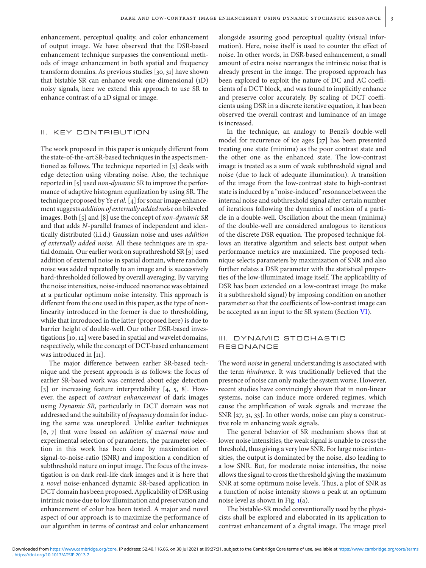enhancement, perceptual quality, and color enhancement of output image. We have observed that the DSR-based enhancement technique surpasses the conventional methods of image enhancement in both spatial and frequency transform domains. As previous studies [30, 31] have shown that bistable SR can enhance weak one-dimensional (1D) noisy signals, here we extend this approach to use SR to enhance contrast of a 2D signal or image.

#### II. KEY CONTRIBUTION

The work proposed in this paper is uniquely different from the state-of-the-art SR-based techniques in the aspects mentioned as follows. The technique reported in [3] deals with edge detection using vibrating noise. Also, the technique reported in [5] used non-dynamic SR to improve the performance of adaptive histogram equalization by using SR. The technique proposed by Ye et al. [4] for sonar image enhancement suggests addition of externally added noise on bileveled images. Both [5] and [8] use the concept of non-dynamic SR and that adds *N*-parallel frames of independent and identically distributed (i.i.d.) Gaussian noise and uses addition of externally added noise. All these techniques are in spatial domain. Our earlier work on suprathreshold SR [9] used addition of external noise in spatial domain, where random noise was added repeatedly to an image and is successively hard-thresholded followed by overall averaging. By varying the noise intensities, noise-induced resonance was obtained at a particular optimum noise intensity. This approach is different from the one used in this paper, as the type of nonlinearity introduced in the former is due to thresholding, while that introduced in the latter (proposed here) is due to barrier height of double-well. Our other DSR-based investigations [10, 12] were based in spatial and wavelet domains, respectively, while the concept of DCT-based enhancement was introduced in [11].

The major difference between earlier SR-based technique and the present approach is as follows: the focus of earlier SR-based work was centered about edge detection [3] or increasing feature interpretability [4, 5, 8]. However, the aspect of contrast enhancement of dark images using Dynamic SR, particularly in DCT domain was not addressed and the suitability of frequency domain for inducing the same was unexplored. Unlike earlier techniques [6, 7] that were based on *addition of external noise* and experimental selection of parameters, the parameter selection in this work has been done by maximization of signal-to-noise-ratio (SNR) and imposition a condition of subthreshold nature on input image. The focus of the investigation is on dark real-life dark images and it is here that a novel noise-enhanced dynamic SR-based application in DCT domain has been proposed. Applicability of DSR using intrinsic noise due to low illumination and preservation and enhancement of color has been tested. A major and novel aspect of our approach is to maximize the performance of our algorithm in terms of contrast and color enhancement

alongside assuring good perceptual quality (visual information). Here, noise itself is used to counter the effect of noise. In other words, in DSR-based enhancement, a small amount of extra noise rearranges the intrinsic noise that is already present in the image. The proposed approach has been explored to exploit the nature of DC and AC coefficients of a DCT block, and was found to implicitly enhance and preserve color accurately. By scaling of DCT coefficients using DSR in a discrete iterative equation, it has been observed the overall contrast and luminance of an image is increased.

In the technique, an analogy to Benzi's double-well model for recurrence of ice ages [27] has been presented treating one state (minima) as the poor contrast state and the other one as the enhanced state. The low-contrast image is treated as a sum of weak subthreshold signal and noise (due to lack of adequate illumination). A transition of the image from the low-contrast state to high-contrast state is induced by a "noise-induced" resonance between the internal noise and subthreshold signal after certain number of iterations following the dynamics of motion of a particle in a double-well. Oscillation about the mean (minima) of the double-well are considered analogous to iterations of the discrete DSR equation. The proposed technique follows an iterative algorithm and selects best output when performance metrics are maximized. The proposed technique selects parameters by maximization of SNR and also further relates a DSR parameter with the statistical properties of the low-illuminated image itself. The applicability of DSR has been extended on a low-contrast image (to make it a subthreshold signal) by imposing condition on another parameter so that the coefficients of low-contrast image can be accepted as an input to the SR system (Section VI).

#### III. DYNAMIC STOCHASTIC **RESONANCE**

The word noise in general understanding is associated with the term hindrance. It was traditionally believed that the presence of noise can only make the system worse. However, recent studies have convincingly shown that in non-linear systems, noise can induce more ordered regimes, which cause the amplification of weak signals and increase the SNR [27, 31, 33]. In other words, noise can play a constructive role in enhancing weak signals.

The general behavior of SR mechanism shows that at lower noise intensities, the weak signal is unable to cross the threshold, thus giving a very low SNR. For large noise intensities, the output is dominated by the noise, also leading to a low SNR. But, for moderate noise intensities, the noise allows the signal to cross the threshold giving the maximum SNR at some optimum noise levels. Thus, a plot of SNR as a function of noise intensity shows a peak at an optimum noise level as shown in Fig. 1(a).

The bistable-SR model conventionally used by the physicists shall be explored and elaborated in its application to contrast enhancement of a digital image. The image pixel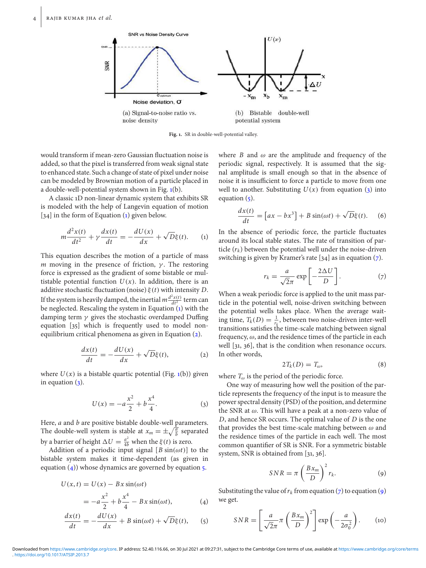

**Fig. 1.** SR in double-well-potential valley.

would transform if mean-zero Gaussian fluctuation noise is added, so that the pixel is transferred from weak signal state to enhanced state. Such a change of state of pixel under noise can be modeled by Brownian motion of a particle placed in a double-well-potential system shown in Fig. 1(b).

A classic 1D non-linear dynamic system that exhibits SR is modeled with the help of Langevin equation of motion [34] in the form of Equation (1) given below.

$$
m\frac{d^2x(t)}{dt^2} + \gamma \frac{dx(t)}{dt} = -\frac{dU(x)}{dx} + \sqrt{D}\xi(t).
$$
 (1)

This equation describes the motion of a particle of mass *m* moving in the presence of friction,  $\gamma$ . The restoring force is expressed as the gradient of some bistable or multistable potential function  $U(x)$ . In addition, there is an additive stochastic fluctuation (noise) ξ(*t*) with intensity *D*. If the system is heavily damped, the inertial  $m \frac{d^2 x(t)}{dt^2}$  term can be neglected. Rescaling the system in Equation (1) with the damping term  $\gamma$  gives the stochastic overdamped Duffing equation [35] which is frequently used to model nonequilibrium critical phenomena as given in Equation (2).

$$
\frac{dx(t)}{dt} = -\frac{dU(x)}{dx} + \sqrt{D}\xi(t),\tag{2}
$$

where  $U(x)$  is a bistable quartic potential (Fig. 1(b)) given in equation  $(3)$ .

$$
U(x) = -a\frac{x^2}{2} + b\frac{x^4}{4}.
$$
 (3)

Here, *a* and *b* are positive bistable double-well parameters. The double-well system is stable at  $x_m = \pm \sqrt{\frac{a}{b}}$  separated by a barrier of height  $\Delta U = \frac{a^2}{4b}$  $\frac{a^2}{4b}$  when the  $\xi(t)$  is zero.

Addition of a periodic input signal  $[B \sin(\omega t)]$  to the bistable system makes it time-dependent (as given in equation  $(4)$ ) whose dynamics are governed by equation 5.

$$
U(x,t) = U(x) - Bx \sin(\omega t)
$$
  
= 
$$
-a\frac{x^2}{2} + b\frac{x^4}{4} - Bx \sin(\omega t),
$$
 (4)

$$
\frac{dx(t)}{dt} = -\frac{dU(x)}{dx} + B\sin(\omega t) + \sqrt{D}\xi(t), \qquad (5)
$$

where *B* and  $\omega$  are the amplitude and frequency of the periodic signal, respectively. It is assumed that the signal amplitude is small enough so that in the absence of noise it is insufficient to force a particle to move from one well to another. Substituting  $U(x)$  from equation (3) into equation  $(5)$ .

$$
\frac{dx(t)}{dt} = [ax - bx^3] + B\sin(\omega t) + \sqrt{D}\xi(t). \quad (6)
$$

In the absence of periodic force, the particle fluctuates around its local stable states. The rate of transition of particle  $(r_k)$  between the potential well under the noise-driven switching is given by Kramer's rate  $[34]$  as in equation  $(7)$ .

$$
r_k = \frac{a}{\sqrt{2\pi}} \exp\left[-\frac{2\Delta U}{D}\right].\tag{7}
$$

When a weak periodic force is applied to the unit mass particle in the potential well, noise-driven switching between the potential wells takes place. When the average waiting time,  $T_k(D) = \frac{1}{r_k}$ , between two noise-driven inter-well transitions satisfies the time-scale matching between signal frequency,  $\omega$ , and the residence times of the particle in each well [31, 36], that is the condition when resonance occurs. In other words,

$$
2T_k(D) = T_{\omega},\tag{8}
$$

where  $T_{\omega}$  is the period of the periodic force.

One way of measuring how well the position of the particle represents the frequency of the input is to measure the power spectral density (PSD) of the position, and determine the SNR at  $\omega$ . This will have a peak at a non-zero value of *D*, and hence SR occurs. The optimal value of *D* is the one that provides the best time-scale matching between  $\omega$  and the residence times of the particle in each well. The most common quantifier of SR is SNR. For a symmetric bistable system, SNR is obtained from [31, 36].

$$
SNR = \pi \left(\frac{Bx_m}{D}\right)^2 r_k.
$$
 (9)

Substituting the value of  $r_k$  from equation (7) to equation (9) we get.

$$
SNR = \left[\frac{a}{\sqrt{2}\pi} \pi \left(\frac{Bx_m}{D}\right)^2\right] \exp\left(-\frac{a}{2\sigma_0^2}\right). \quad (10)
$$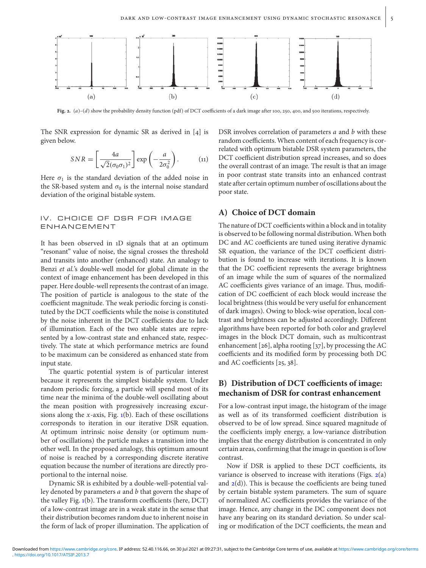

**Fig. 2.** (*a*)–(*d*) show the probability density function (pdf) of DCT coefficients of a dark image after 100, 250, 400, and 500 iterations, respectively.

The SNR expression for dynamic SR as derived in [4] is given below.

$$
SNR = \left[\frac{4a}{\sqrt{2}(\sigma_0 \sigma_1)^2}\right] \exp\left(-\frac{a}{2\sigma_0^2}\right). \tag{11}
$$

Here  $\sigma_1$  is the standard deviation of the added noise in the SR-based system and  $\sigma_0$  is the internal noise standard deviation of the original bistable system.

## IV. CHOICE OF DSR FOR IMAGE ENHANCEMENT

It has been observed in 1D signals that at an optimum "resonant" value of noise, the signal crosses the threshold and transits into another (enhanced) state. An analogy to Benzi et al.'s double-well model for global climate in the context of image enhancement has been developed in this paper. Here double-well represents the contrast of an image. The position of particle is analogous to the state of the coefficient magnitude. The weak periodic forcing is constituted by the DCT coefficients while the noise is constituted by the noise inherent in the DCT coefficients due to lack of illumination. Each of the two stable states are represented by a low-contrast state and enhanced state, respectively. The state at which performance metrics are found to be maximum can be considered as enhanced state from input state.

The quartic potential system is of particular interest because it represents the simplest bistable system. Under random periodic forcing, a particle will spend most of its time near the minima of the double-well oscillating about the mean position with progressively increasing excursions along the *x*-axis, Fig. 1(b). Each of these oscillations corresponds to iteration in our iterative DSR equation. At optimum intrinsic noise density (or optimum number of oscillations) the particle makes a transition into the other well. In the proposed analogy, this optimum amount of noise is reached by a corresponding discrete iterative equation because the number of iterations are directly proportional to the internal noise.

Dynamic SR is exhibited by a double-well-potential valley denoted by parameters *a* and *b* that govern the shape of the valley Fig. 1(b). The transform coefficients (here, DCT) of a low-contrast image are in a weak state in the sense that their distribution becomes random due to inherent noise in the form of lack of proper illumination. The application of

DSR involves correlation of parameters *a* and *b* with these random coefficients.When content of each frequency is correlated with optimum bistable DSR system parameters, the DCT coefficient distribution spread increases, and so does the overall contrast of an image. The result is that an image in poor contrast state transits into an enhanced contrast state after certain optimum number of oscillations about the poor state.

## **A) Choice of DCT domain**

The nature of DCT coefficients within a block and in totality is observed to be following normal distribution. When both DC and AC coefficients are tuned using iterative dynamic SR equation, the variance of the DCT coefficient distribution is found to increase with iterations. It is known that the DC coefficient represents the average brightness of an image while the sum of squares of the normalized AC coefficients gives variance of an image. Thus, modification of DC coefficient of each block would increase the local brightness (this would be very useful for enhancement of dark images). Owing to block-wise operation, local contrast and brightness can be adjusted accordingly. Different algorithms have been reported for both color and graylevel images in the block DCT domain, such as multicontrast enhancement [26], alpha rooting [37], by processing the AC coefficients and its modified form by processing both DC and AC coefficients [25, 38].

# **B) Distribution of DCT coefficients of image: mechanism of DSR for contrast enhancement**

For a low-contrast input image, the histogram of the image as well as of its transformed coefficient distribution is observed to be of low spread. Since squared magnitude of the coefficients imply energy, a low-variance distribution implies that the energy distribution is concentrated in only certain areas, confirming that the image in question is of low contrast.

Now if DSR is applied to these DCT coefficients, its variance is observed to increase with iterations (Figs.  $2(a)$ ) and  $2(d)$ ). This is because the coefficients are being tuned by certain bistable system parameters. The sum of square of normalized AC coefficients provides the variance of the image. Hence, any change in the DC component does not have any bearing on its standard deviation. So under scaling or modification of the DCT coefficients, the mean and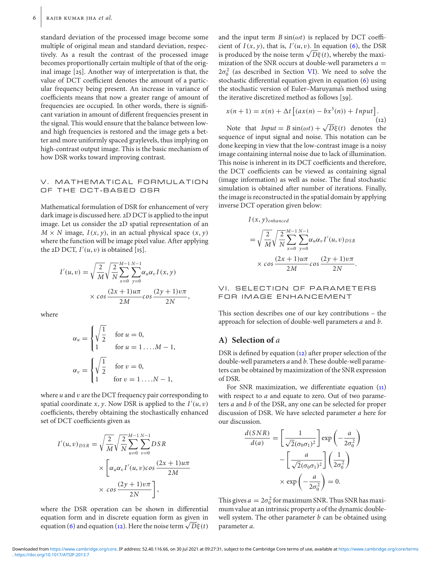standard deviation of the processed image become some multiple of original mean and standard deviation, respectively. As a result the contrast of the processed image becomes proportionally certain multiple of that of the original image [25]. Another way of interpretation is that, the value of DCT coefficient denotes the amount of a particular frequency being present. An increase in variance of coefficients means that now a greater range of amount of frequencies are occupied. In other words, there is significant variation in amount of different frequencies present in the signal. This would ensure that the balance between lowand high frequencies is restored and the image gets a better and more uniformly spaced graylevels, thus implying on high-contrast output image. This is the basic mechanism of how DSR works toward improving contrast.

## V. MATHEMATICAL FORMULATION OF THE DCT-BASED DSR

Mathematical formulation of DSR for enhancement of very dark image is discussed here. 2D DCT is applied to the input image. Let us consider the 2D spatial representation of an  $M \times N$  image,  $I(x, y)$ , in an actual physical space  $(x, y)$ where the function will be image pixel value. After applying the 2D DCT,  $I'(u, v)$  is obtained [15].

$$
I'(u, v) = \sqrt{\frac{2}{M}} \sqrt{\frac{2}{N}} \sum_{x=0}^{M-1} \sum_{y=0}^{N-1} \alpha_u \alpha_v I(x, y)
$$

$$
\times \cos \frac{(2x+1)u\pi}{2M} \cos \frac{(2y+1)v\pi}{2N}
$$

,

where

$$
\alpha_u = \begin{cases}\n\sqrt{\frac{1}{2}} & \text{for } u = 0, \\
1 & \text{for } u = 1 \dots M - 1, \\
\alpha_v = \begin{cases}\n\sqrt{\frac{1}{2}} & \text{for } v = 0, \\
1 & \text{for } v = 1 \dots N - 1,\n\end{cases}\n\end{cases}
$$

where *u* and v are the DCT frequency pair corresponding to spatial coordinate  $x$ ,  $y$ . Now DSR is applied to the  $I'(u, v)$ coefficients, thereby obtaining the stochastically enhanced set of DCT coefficients given as

$$
I'(u, v)_{DSR} = \sqrt{\frac{2}{M}} \sqrt{\frac{2}{N}} \sum_{u=0}^{M-1} \sum_{v=0}^{N-1} DSR
$$

$$
\times \left[ \alpha_u \alpha_v I'(u, v) \cos \frac{(2x+1)u\pi}{2M} \right]
$$

$$
\times \cos \frac{(2y+1)v\pi}{2N} \right],
$$

where the DSR operation can be shown in differential equation form and in discrete equation form as given in equation (6) and equation (12). Here the noise term  $\sqrt{D}\xi(t)$ 

and the input term  $B \sin(\omega t)$  is replaced by DCT coefficient of  $I(x, y)$ , that is,  $I'(u, v)$ . In equation (6), the DSR is produced by the noise term  $\sqrt{D\xi}(t)$ , whereby the maximization of the SNR occurs at double-well parameters  $a =$  $2\sigma_0^2$  (as described in Section VI). We need to solve the stochastic differential equation given in equation (6) using the stochastic version of Euler–Maruyama's method using the iterative discretized method as follows [39].

$$
x(n + 1) = x(n) + \Delta t \left[ (ax(n) - bx^{3}(n)) + Input \right].
$$
\n(12)

Note that  $Input = B \sin(\omega t) + \sqrt{D}\xi(t)$  denotes the sequence of input signal and noise. This notation can be done keeping in view that the low-contrast image is a noisy image containing internal noise due to lack of illumination. This noise is inherent in its DCT coefficients and therefore, the DCT coefficients can be viewed as containing signal (image information) as well as noise. The final stochastic simulation is obtained after number of iterations. Finally, the image is reconstructed in the spatial domain by applying inverse DCT operation given below:

$$
I(x, y)_{enhanced}
$$
  
=  $\sqrt{\frac{2}{M}} \sqrt{\frac{2}{N}} \sum_{x=0}^{M-1} \sum_{y=0}^{N-1} \alpha_u \alpha_v I'(u, v)_{DSR}$   
 $\times \cos \frac{(2x+1)u\pi}{2M} \cos \frac{(2y+1)v\pi}{2N}.$ 

## VI. SELECTION OF PARAMETERS FOR IMAGE ENHANCEMENT

This section describes one of our key contributions – the approach for selection of double-well parameters *a* and *b*.

## **A) Selection of** *a*

DSR is defined by equation (12) after proper selection of the double-well parameters a and b. These double-well parameters can be obtained by maximization of the SNR expression of DSR.

For SNR maximization, we differentiate equation (11) with respect to *a* and equate to zero. Out of two parameters a and b of the DSR, any one can be selected for proper discussion of DSR. We have selected parameter a here for our discussion.

$$
\frac{d(SNR)}{d(a)} = \left[\frac{1}{\sqrt{2}(\sigma_0 \sigma_1)^2}\right] \exp\left(-\frac{a}{2\sigma_0^2}\right)
$$

$$
-\left[\frac{a}{\sqrt{2}(\sigma_0 \sigma_1)^2}\right] \left(\frac{1}{2\sigma_0^2}\right)
$$

$$
\times \exp\left(-\frac{a}{2\sigma_0^2}\right) = 0.
$$

This gives  $a = 2\sigma_0^2$  for maximum SNR. Thus SNR has maximum value at an intrinsic property a of the dynamic doublewell system. The other parameter *b* can be obtained using parameter a.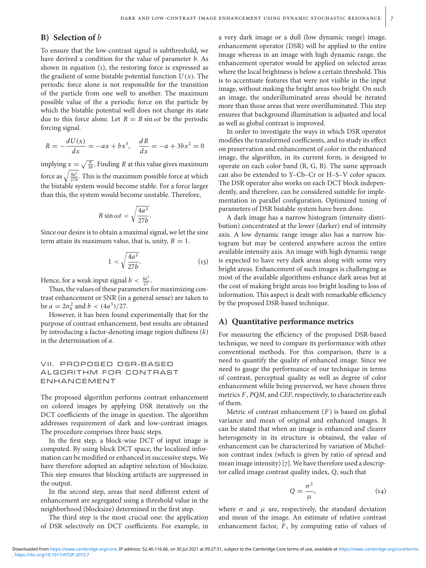## **B) Selection of** *b*

To ensure that the low-contrast signal is subthreshold, we have derived a condition for the value of parameter *b*. As shown in equation  $(1)$ , the restoring force is expressed as the gradient of some bistable potential function  $U(x)$ . The periodic force alone is not responsible for the transition of the particle from one well to another. The maximum possible value of the a periodic force on the particle by which the bistable potential well does not change its state due to this force alone. Let  $R = B \sin \omega t$  be the periodic forcing signal.

$$
R = -\frac{dU(x)}{dx} = -ax + bx^3, \quad \frac{dR}{dx} = -a + 3bx^2 = 0
$$

implying  $x = \sqrt{\frac{a}{3b}}$ . Finding *R* at this value gives maximum force as  $\sqrt{\frac{4a^3}{27h}}$  $\frac{4a^3}{27b}$ . This is the maximum possible force at which the bistable system would become stable. For a force larger than this, the system would become unstable. Therefore,

$$
B\sin\omega t < \sqrt{\frac{4a^3}{27b}}.
$$

Since our desire is to obtain a maximal signal, we let the sine term attain its maximum value, that is, unity,  $B = 1$ .

$$
1 < \sqrt{\frac{4a^3}{27b}}.\tag{13}
$$

Hence, for a weak input signal  $b < \frac{4a^3}{27}$ .

Thus, the values of these parameters for maximizing contrast enhancement or SNR (in a general sense) are taken to be  $a = 2\sigma_0^2$  and  $b < (4a^3)/27$ .

However, it has been found experimentally that for the purpose of contrast enhancement, best results are obtained by introducing a factor-denoting image region dullness (*k*) in the determination of *a*.

## VII. PROPOSED DSR-BASED ALGORITHM FOR CONTRAST ENHANCEMENT

The proposed algorithm performs contrast enhancement on colored images by applying DSR iteratively on the DCT coefficients of the image in question. The algorithm addresses requirement of dark and low-contrast images. The procedure comprises three basic steps.

In the first step, a block-wise DCT of input image is computed. By using block DCT space, the localized information can be modified or enhanced in successive steps. We have therefore adopted an adaptive selection of blocksize. This step ensures that blocking artifacts are suppressed in the output.

In the second step, areas that need different extent of enhancement are segregated using a threshold value in the neighborhood (blocksize) determined in the first step.

The third step is the most crucial one: the application of DSR selectively on DCT coefficients. For example, in a very dark image or a dull (low dynamic range) image, enhancement operator (DSR) will be applied to the entire image whereas in an image with high dynamic range, the enhancement operator would be applied on selected areas where the local brightness is below a certain threshold. This is to accentuate features that were not visible in the input image, without making the bright areas too bright. On such an image, the underilluminated areas should be iterated more than those areas that were overilluminated. This step ensures that background illumination is adjusted and local as well as global contrast is improved.

In order to investigate the ways in which DSR operator modifies the transformed coefficients, and to study its effect on preservation and enhancement of color in the enhanced image, the algorithm, in its current form, is designed to operate on each color band (R, G, B). The same approach can also be extended to Y–Cb–Cr or H–S–V color spaces. The DSR operator also works on each DCT block independently, and therefore, can be considered suitable for implementation in parallel configuration. Optimized tuning of parameters of DSR bistable system have been done.

A dark image has a narrow histogram (intensity distribution) concentrated at the lower (darker) end of intensity axis. A low dynamic range image also has a narrow histogram but may be centered anywhere across the entire available intensity axis. An image with high dynamic range is expected to have very dark areas along with some very bright areas. Enhancement of such images is challenging as most of the available algorithms enhance dark areas but at the cost of making bright areas too bright leading to loss of information. This aspect is dealt with remarkable efficiency by the proposed DSR-based technique.

#### **A) Quantitative performance metrics**

For measuring the efficiency of the proposed DSR-based technique, we need to compare its performance with other conventional methods. For this comparison, there is a need to quantify the quality of enhanced image. Since we need to gauge the performance of our technique in terms of contrast, perceptual quality as well as degree of color enhancement while being preserved, we have chosen three metrics *F* , PQM, and CEF, respectively, to characterize each of them.

Metric of contrast enhancement (*F* ) is based on global variance and mean of original and enhanced images. It can be stated that when an image is enhanced and clearer heterogeneity in its structure is obtained, the value of enhancement can be characterized by variation of Michelson contrast index (which is given by ratio of spread and mean image intensity) [7].We have therefore used a descriptor called image contrast quality index, *Q*, such that

$$
Q = \frac{\sigma^2}{\mu},\tag{14}
$$

where  $\sigma$  and  $\mu$  are, respectively, the standard deviation and mean of the image. An estimate of relative contrast enhancement factor, *F* , by computing ratio of values of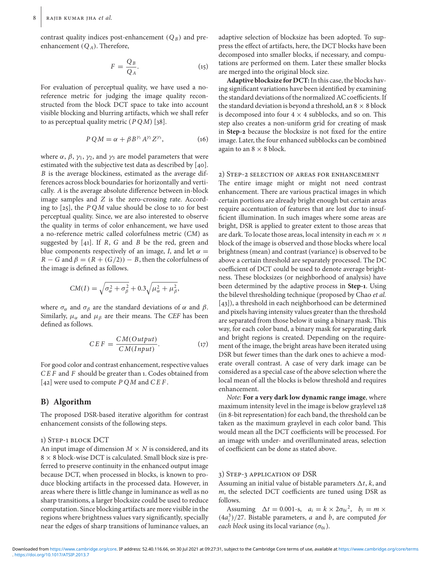contrast quality indices post-enhancement  $(Q_B)$  and preenhancement (*QA*). Therefore,

$$
F = \frac{Q_B}{Q_A}.\tag{15}
$$

For evaluation of perceptual quality, we have used a noreference metric for judging the image quality reconstructed from the block DCT space to take into account visible blocking and blurring artifacts, which we shall refer to as perceptual quality metric (*PQM*) [38].

$$
P\,QM = \alpha + \beta B^{\gamma_1}A^{\gamma_2}Z^{\gamma_3},\tag{16}
$$

where  $\alpha$ ,  $\beta$ ,  $\gamma_1$ ,  $\gamma_2$ , and  $\gamma_3$  are model parameters that were estimated with the subjective test data as described by [40]. *B* is the average blockiness, estimated as the average differences across block boundaries for horizontally and vertically. *A* is the average absolute difference between in-block image samples and *Z* is the zero-crossing rate. According to [25], the *PQM* value should be close to 10 for best perceptual quality. Since, we are also interested to observe the quality in terms of color enhancement, we have used a no-reference metric called colorfulness metric (CM) as suggested by [41]. If *R*, *G* and *B* be the red, green and blue components respectively of an image, I, and let  $\alpha =$  $R - G$  and  $\beta = (R + (G/2)) - B$ , then the colorfulness of the image is defined as follows.

$$
CM(I) = \sqrt{\sigma_{\alpha}^2 + \sigma_{\beta}^2} + 0.3\sqrt{\mu_{\alpha}^2 + \mu_{\beta}^2},
$$

where  $\sigma_{\alpha}$  and  $\sigma_{\beta}$  are the standard deviations of  $\alpha$  and  $\beta$ . Similarly,  $\mu_{\alpha}$  and  $\mu_{\beta}$  are their means. The CEF has been defined as follows.

$$
CEF = \frac{CM(Output)}{CM(Input)}.
$$
 (17)

For good color and contrast enhancement, respective values *CEF* and *F* should be greater than 1. Codes obtained from [42] were used to compute *PQM* and *CEF* .

## **B) Algorithm**

The proposed DSR-based iterative algorithm for contrast enhancement consists of the following steps.

#### 1) Step-1 block DCT

An input image of dimension  $M \times N$  is considered, and its  $8 \times 8$  block-wise DCT is calculated. Small block size is preferred to preserve continuity in the enhanced output image because DCT, when processed in blocks, is known to produce blocking artifacts in the processed data. However, in areas where there is little change in luminance as well as no sharp transitions, a larger blocksize could be used to reduce computation. Since blocking artifacts are more visible in the regions where brightness values vary significantly, specially near the edges of sharp transitions of luminance values, an adaptive selection of blocksize has been adopted. To suppress the effect of artifacts, here, the DCT blocks have been decomposed into smaller blocks, if necessary, and computations are performed on them. Later these smaller blocks are merged into the original block size.

**Adaptive blocksize for DCT:**In this case, the blocks having significant variations have been identified by examining the standard deviations of the normalized AC coefficients. If the standard deviation is beyond a threshold, an  $8 \times 8$  block is decomposed into four  $4 \times 4$  subblocks, and so on. This step also creates a non-uniform grid for creating of mask in **Step-2** because the blocksize is not fixed for the entire image. Later, the four enhanced subblocks can be combined again to an  $8 \times 8$  block.

#### 2) Step-2 selection of areas for enhancement

The entire image might or might not need contrast enhancement. There are various practical images in which certain portions are already bright enough but certain areas require accentuation of features that are lost due to insufficient illumination. In such images where some areas are bright, DSR is applied to greater extent to those areas that are dark. To locate those areas, local intensity in each  $m \times n$ block of the image is observed and those blocks where local brightness (mean) and contrast (variance) is observed to be above a certain threshold are separately processed. The DC coefficient of DCT could be used to denote average brightness. These blocksizes (or neighborhood of analysis) have been determined by the adaptive process in **Step-1**. Using the bilevel thresholding technique (proposed by Chao et al. [43]), a threshold in each neighborhood can be determined and pixels having intensity values greater than the threshold are separated from those below it using a binary mask. This way, for each color band, a binary mask for separating dark and bright regions is created. Depending on the requirement of the image, the bright areas have been iterated using DSR but fewer times than the dark ones to achieve a moderate overall contrast. A case of very dark image can be considered as a special case of the above selection where the local mean of all the blocks is below threshold and requires enhancement.

Note: **For a very dark low dynamic range image**, where maximum intensity level in the image is below graylevel 128 (in 8-bit representation) for each band, the threshold can be taken as the maximum graylevel in each color band. This would mean all the DCT coefficients will be processed. For an image with under- and overilluminated areas, selection of coefficient can be done as stated above.

#### 3) Step-3 application of DSR

Assuming an initial value of bistable parameters  $\Delta t$ ,  $k$ , and *m*, the selected DCT coefficients are tuned using DSR as follows.

Assuming  $\Delta t = 0.001$ -s,  $a_i = k \times 2{\sigma_{0i}}^2$ ,  $b_i = m \times$  $(4a_i^3)/27$ . Bistable parameters, *a* and *b*, are computed for each block using its local variance  $(\sigma_{0i})$ .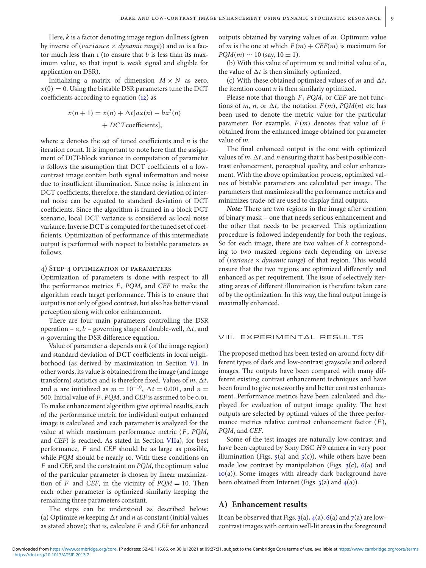Here, *k* is a factor denoting image region dullness (given by inverse of (v*ariance* × dynamic range)) and *m* is a factor much less than 1 (to ensure that *b* is less than its maximum value, so that input is weak signal and eligible for application on DSR).

Initializing a matrix of dimension  $M \times N$  as zero.  $x(0) = 0$ . Using the bistable DSR parameters tune the DCT coefficients according to equation (12) as

$$
x(n + 1) = x(n) + \Delta t [ax(n) - bx^{3}(n)
$$
  
+ 
$$
DC T coefficients],
$$

where *x* denotes the set of tuned coefficients and *n* is the iteration count. It is important to note here that the assignment of DCT-block variance in computation of parameter *a* follows the assumption that DCT coefficients of a lowcontrast image contain both signal information and noise due to insufficient illumination. Since noise is inherent in DCT coefficients, therefore, the standard deviation of internal noise can be equated to standard deviation of DCT coefficients. Since the algorithm is framed in a block DCT scenario, local DCT variance is considered as local noise variance. Inverse DCT is computed for the tuned set of coefficients. Optimization of performance of this intermediate output is performed with respect to bistable parameters as follows.

#### 4) Step-4 optimization of parameters

Optimization of parameters is done with respect to all the performance metrics *F* , PQM, and CEF to make the algorithm reach target performance. This is to ensure that output is not only of good contrast, but also has better visual perception along with color enhancement.

There are four main parameters controlling the DSR operation –  $a$ ,  $b$  – governing shape of double-well,  $\Delta t$ , and *n*-governing the DSR difference equation.

Value of parameter *a* depends on *k* (of the image region) and standard deviation of DCT coefficients in local neighborhood (as derived by maximization in Section VI. In other words, its value is obtained from the image (and image transform) statistics and is therefore fixed. Values of  $m$ ,  $\Delta t$ , and *n* are initialized as  $m = 10^{-10}$ ,  $\Delta t = 0.001$ , and  $n =$ 500. Initial value of *F* , PQM, and CEF is assumed to be 0.01. To make enhancement algorithm give optimal results, each of the performance metric for individual output enhanced image is calculated and each parameter is analyzed for the value at which maximum performance metric (*F* , PQM, and CEF) is reached. As stated in Section VIIa), for best performance, *F* and CEF should be as large as possible, while PQM should be nearly 10. With these conditions on *F* and CEF, and the constraint on PQM, the optimum value of the particular parameter is chosen by linear maximization of *F* and *CEF*, in the vicinity of  $PQM = 10$ . Then each other parameter is optimized similarly keeping the remaining three parameters constant.

The steps can be understood as described below: (a) Optimize *m* keeping  $\Delta t$  and *n* as constant (initial values as stated above); that is, calculate *F* and CEF for enhanced outputs obtained by varying values of *m*. Optimum value of *m* is the one at which  $F(m) + CEF(m)$  is maximum for  $PQM(m) \sim 10$  (say,  $10 \pm 1$ ).

(b) With this value of optimum *m* and initial value of *n*, the value of  $\Delta t$  is then similarly optimized.

(c) With these obtained optimized values of  $m$  and  $\Delta t$ , the iteration count *n* is then similarly optimized.

Please note that though *F*, *PQM*, or *CEF* are not functions of *m*, *n*, or  $\Delta t$ , the notation  $F(m)$ ,  $PQM(n)$  etc has been used to denote the metric value for the particular parameter. For example, *F* (*m*) denotes that value of *F* obtained from the enhanced image obtained for parameter value of *m*.

The final enhanced output is the one with optimized values of  $m$ ,  $\Delta t$ , and  $n$  ensuring that it has best possible contrast enhancement, perceptual quality, and color enhancement. With the above optimization process, optimized values of bistable parameters are calculated per image. The parameters that maximizes all the performance metrics and minimizes trade-off are used to display final outputs.

**Note:** There are two regions in the image after creation of binary mask – one that needs serious enhancement and the other that needs to be preserved. This optimization procedure is followed independently for both the regions. So for each image, there are two values of *k* corresponding to two masked regions each depending on inverse of (variance  $\times$  dynamic range) of that region. This would ensure that the two regions are optimized differently and enhanced as per requirement. The issue of selectively iterating areas of different illumination is therefore taken care of by the optimization. In this way, the final output image is maximally enhanced.

#### VIII. EXPERIMENTAL RESULTS

The proposed method has been tested on around forty different types of dark and low-contrast grayscale and colored images. The outputs have been compared with many different existing contrast enhancement techniques and have been found to give noteworthy and better contrast enhancement. Performance metrics have been calculated and displayed for evaluation of output image quality. The best outputs are selected by optimal values of the three performance metrics relative contrast enhancement factor (*F* ), PQM, and CEF.

Some of the test images are naturally low-contrast and have been captured by Sony DSC *H*9 camera in very poor illumination (Figs.  $5(a)$  and  $5(c)$ ), while others have been made low contrast by manipulation (Figs.  $3(c)$ ,  $6(a)$  and 10(a)). Some images with already dark background have been obtained from Internet (Figs.  $3(a)$  and  $4(a)$ ).

## **A) Enhancement results**

It can be observed that Figs.  $3(a)$ ,  $4(a)$ ,  $6(a)$  and  $7(a)$  are lowcontrast images with certain well-lit areas in the foreground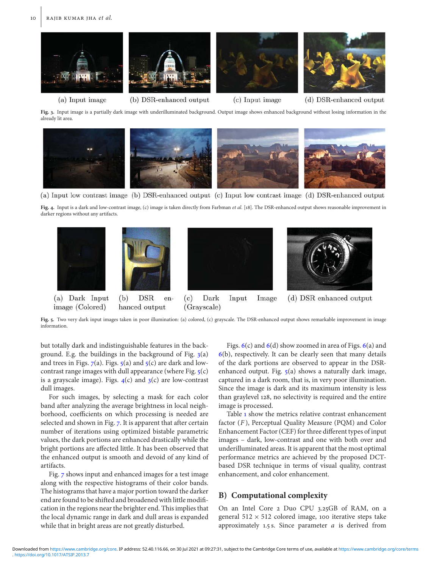

**Fig. 3.** Input image is a partially dark image with underilluminated background. Output image shows enhanced background without losing information in the already lit area.



(a) Input low contrast image (b) DSR-enhanced output (c) Input low contrast image (d) DSR-enhanced output

Fig. 4. Input is a dark and low-contrast image, (c) image is taken directly from Farbman et al. [18]. The DSR-enhanced output shows reasonable improvement in darker regions without any artifacts.



**Fig. 5.** Two very dark input images taken in poor illumination: (a) colored, (c) grayscale. The DSR-enhanced output shows remarkable improvement in image information.

but totally dark and indistinguishable features in the background. E.g. the buildings in the background of Fig.  $3(a)$ and trees in Figs.  $7(a)$ . Figs.  $5(a)$  and  $5(c)$  are dark and lowcontrast range images with dull appearance (where Fig. 5(c) is a grayscale image). Figs.  $4(c)$  and  $3(c)$  are low-contrast dull images.

For such images, by selecting a mask for each color band after analyzing the average brightness in local neighborhood, coefficients on which processing is needed are selected and shown in Fig. 7. It is apparent that after certain number of iterations using optimized bistable parametric values, the dark portions are enhanced drastically while the bright portions are affected little. It has been observed that the enhanced output is smooth and devoid of any kind of artifacts.

Fig. 7 shows input and enhanced images for a test image along with the respective histograms of their color bands. The histograms that have a major portion toward the darker end are found to be shifted and broadened with little modification in the regions near the brighter end. This implies that the local dynamic range in dark and dull areas is expanded while that in bright areas are not greatly disturbed.

Figs.  $6(c)$  and  $6(d)$  show zoomed in area of Figs.  $6(a)$  and 6(b), respectively. It can be clearly seen that many details of the dark portions are observed to appear in the DSRenhanced output. Fig.  $5(a)$  shows a naturally dark image, captured in a dark room, that is, in very poor illumination. Since the image is dark and its maximum intensity is less than graylevel 128, no selectivity is required and the entire image is processed.

Table 1 show the metrics relative contrast enhancement factor (*F* ), Perceptual Quality Measure (PQM) and Color Enhancement Factor (CEF) for three different types of input images – dark, low-contrast and one with both over and underilluminated areas. It is apparent that the most optimal performance metrics are achieved by the proposed DCTbased DSR technique in terms of visual quality, contrast enhancement, and color enhancement.

## **B) Computational complexity**

On an Intel Core 2 Duo CPU 3.25GB of RAM, on a general  $512 \times 512$  colored image, 100 iterative steps take approximately 1.5 s. Since parameter *a* is derived from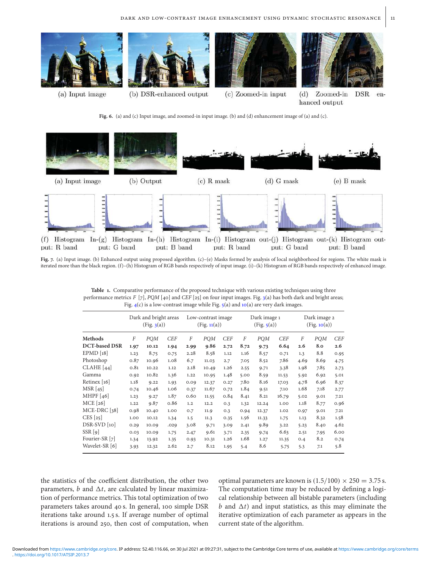

(a) Input image



(b) DSR-enhanced output





en-

(c) Zoomed-in input  $(d)$ Zoomed-in  $DSR$ hanced output

**Fig. 6.** (a) and (c) Input image, and zoomed-in input image. (b) and (d) enhancement image of (a) and (c).



**Fig. 7.** (a) Input image. (b) Enhanced output using proposed algorithm. (c)–(e) Masks formed by analysis of local neighborhood for regions. The white mask is iterated more than the black region. (f)–(h) Histogram of RGB bands respectively of input image. (i)–(k) Histogram of RGB bands respectively of enhanced image.

**Table 1.** Comparative performance of the proposed technique with various existing techniques using three performance metrics *F* [7], PQM [40] and CEF [25] on four input images. Fig. 3(a) has both dark and bright areas; Fig.  $4(c)$  is a low-contrast image while Fig.  $5(a)$  and  $10(a)$  are very dark images.

| <b>Methods</b>       | Dark and bright areas<br>(Fig. 3(a)) |       |            | Low-contrast image<br>(Fig. 11(a)) |       |            | Dark image 1<br>(Fig. 5(a)) |       |            | Dark image 2<br>(Fig. 10(a)) |      |            |
|----------------------|--------------------------------------|-------|------------|------------------------------------|-------|------------|-----------------------------|-------|------------|------------------------------|------|------------|
|                      | F                                    | PQM   | <b>CEF</b> | F                                  | PQM   | <b>CEF</b> | F                           | PQM   | <b>CEF</b> | F                            | PQM  | <b>CEF</b> |
| <b>DCT-based DSR</b> | 1.97                                 | 10.12 | 1.94       | 2.99                               | 9.86  | 2.72       | 8.72                        | 9.73  | 6.64       | 2.6                          | 8.0  | 2.6        |
| EPMD[18]             | 1.23                                 | 8.75  | 0.75       | 2.28                               | 8.58  | 1.12       | 1.16                        | 8.57  | 0.71       | 1.3                          | 8.8  | 0.95       |
| Photoshop            | 0.87                                 | 10.96 | 1.08       | 6.7                                | 11.03 | 2.7        | 7.05                        | 8.52  | 7.86       | 4.69                         | 8.69 | 4.75       |
| CLAHE [44]           | 0.81                                 | 10.22 | 1.12       | 2.18                               | 10.49 | 1.26       | 2.55                        | 9.71  | 3.38       | 1.98                         | 7.85 | 2.73       |
| Gamma                | 0.92                                 | 10.82 | 1.36       | 1.22                               | 10.95 | 1.48       | 5.00                        | 8.59  | 11.53      | 5.92                         | 6.92 | 5.01       |
| Retinex $[16]$       | 1.18                                 | 9.22  | 1.93       | 0.09                               | 12.37 | 0.27       | 7.8 <sub>O</sub>            | 8.16  | 17.03      | 4.78                         | 6.96 | 8.37       |
| MSR [45]             | 0.74                                 | 10.46 | 1.06       | 0.37                               | 11.67 | 0.72       | 1.84                        | 9.51  | 7.10       | 1.68                         | 7.18 | 2.77       |
| MHPF [46]            | 1.23                                 | 9.27  | 1.87       | 0.60                               | 11.55 | 0.84       | 8.41                        | 8.21  | 16.79      | 5.02                         | 9.01 | 7.21       |
| $MCE$ [26]           | 1.22                                 | 9.87  | 0.86       | 1.2                                | 12.2  | 0.3        | 1.32                        | 12.24 | 1.00       | 1.18                         | 8.77 | 0.96       |
| $MCE-DRC$ [38]       | 0.98                                 | 10.40 | 1.00       | 0.7                                | 11.9  | 0.3        | 0.94                        | 12.37 | 1.02       | 0.97                         | 9.01 | 7.21       |
| CES [25]             | 1.00                                 | 10.12 | 1.34       | 1.5                                | 11.3  | 0.35       | 1.56                        | 11.33 | 1.75       | 1.13                         | 8.32 | 1.58       |
| DSR-SVD [10]         | 0.29                                 | 10.09 | .029       | 3.08                               | 9.71  | 3.09       | 2.41                        | 9.89  | 3.22       | 5.23                         | 8.40 | 4.62       |
| $SSR$ [9]            | 0.03                                 | 10.09 | 1.75       | 2.47                               | 9.61  | 3.71       | 2.35                        | 9.74  | 6.63       | 2.51                         | 7.95 | 6.00       |
| Fourier-SR [7]       | 1.34                                 | 13.92 | 1.35       | 0.93                               | 10.31 | 1.26       | 1.68                        | 1.27  | 11.35      | O.4                          | 8.2  | 0.74       |
| Wavelet-SR [6]       | 3.93                                 | 12.32 | 2.62       | 2.7                                | 8.12  | 1.95       | 5.4                         | 8.6   | 5.75       | 5.3                          | 7.1  | 5.8        |

the statistics of the coefficient distribution, the other two parameters,  $b$  and  $\Delta t$ , are calculated by linear maximization of performance metrics. This total optimization of two parameters takes around 40 s. In general, 100 simple DSR iterations take around 1.5 s. If average number of optimal iterations is around 250, then cost of computation, when optimal parameters are known is  $(1.5/100) \times 250 = 3.75$  s. The computation time may be reduced by defining a logical relationship between all bistable parameters (including  $b$  and  $\Delta t$ ) and input statistics, as this may eliminate the iterative optimization of each parameter as appears in the current state of the algorithm.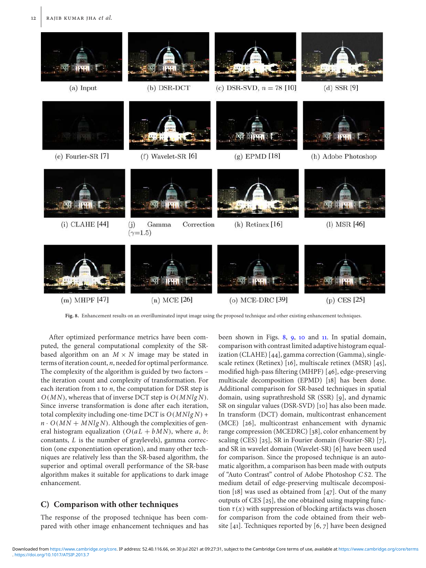

**Fig. 8.** Enhancement results on an overilluminated input image using the proposed technique and other existing enhancement techniques.

After optimized performance metrics have been computed, the general computational complexity of the SRbased algorithm on an  $M \times N$  image may be stated in terms of iteration count, *n*, needed for optimal performance. The complexity of the algorithm is guided by two factors – the iteration count and complexity of transformation. For each iteration from 1 to *n*, the computation for DSR step is *O*(*MN*), whereas that of inverse DCT step is *O*(*MNlgN*). Since inverse transformation is done after each iteration, total complexity including one-time DCT is *O*(*MNlgN*) +  $n \cdot O(MN + MNlgN)$ . Although the complexities of general histogram equalization  $(O(aL + bMN))$ , where *a*, *b*: constants, *L* is the number of graylevels), gamma correction (one exponentiation operation), and many other techniques are relatively less than the SR-based algorithm, the superior and optimal overall performance of the SR-base algorithm makes it suitable for applications to dark image enhancement.

# **C) Comparison with other techniques**

The response of the proposed technique has been compared with other image enhancement techniques and has been shown in Figs. 8, 9, 10 and 11. In spatial domain, comparison with contrast limited adaptive histogram equalization (CLAHE) [44], gamma correction (Gamma), singlescale retinex (Retinex) [16], multiscale retinex (MSR) [45], modified high-pass filtering (MHPF) [46], edge-preserving multiscale decomposition (EPMD) [18] has been done. Additional comparison for SR-based techniques in spatial domain, using suprathreshold SR (SSR) [9], and dynamic SR on singular values (DSR-SVD) [10] has also been made. In transform (DCT) domain, multicontrast enhancement (MCE) [26], multicontrast enhancement with dynamic range compression (MCEDRC) [38], color enhancement by scaling (CES) [25], SR in Fourier domain (Fourier-SR) [7], and SR in wavelet domain (Wavelet-SR) [6] have been used for comparison. Since the proposed technique is an automatic algorithm, a comparison has been made with outputs of "Auto Contrast" control of Adobe Photoshop *C S*2. The medium detail of edge-preserving multiscale decomposition [18] was used as obtained from [47]. Out of the many outputs of CES [25], the one obtained using mapping function  $\tau(x)$  with suppression of blocking artifacts was chosen for comparison from the code obtained from their website [41]. Techniques reported by [6, 7] have been designed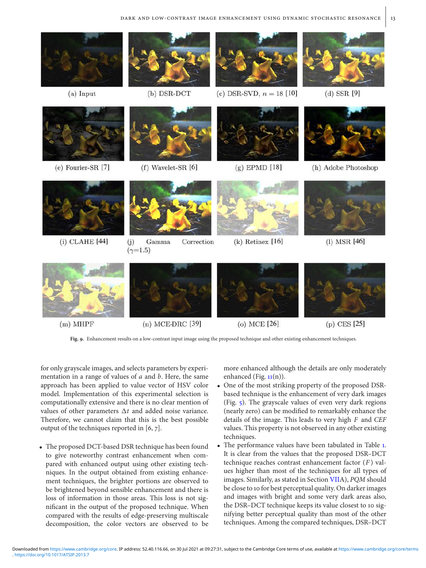

**Fig. 9.** Enhancement results on a low-contrast input image using the proposed technique and other existing enhancement techniques.

for only grayscale images, and selects parameters by experimentation in a range of values of *a* and *b*. Here, the same approach has been applied to value vector of HSV color model. Implementation of this experimental selection is computationally extensive and there is no clear mention of values of other parameters  $\Delta t$  and added noise variance. Therefore, we cannot claim that this is the best possible output of the techniques reported in [6, 7].

• The proposed DCT-based DSR technique has been found to give noteworthy contrast enhancement when compared with enhanced output using other existing techniques. In the output obtained from existing enhancement techniques, the brighter portions are observed to be brightened beyond sensible enhancement and there is loss of information in those areas. This loss is not significant in the output of the proposed technique. When compared with the results of edge-preserving multiscale decomposition, the color vectors are observed to be

more enhanced although the details are only moderately enhanced (Fig.  $11(n)$ ).

- One of the most striking property of the proposed DSRbased technique is the enhancement of very dark images (Fig. 5). The grayscale values of even very dark regions (nearly zero) can be modified to remarkably enhance the details of the image. This leads to very high *F* and CEF values. This property is not observed in any other existing techniques.
- The performance values have been tabulated in Table 1. It is clear from the values that the proposed DSR–DCT technique reaches contrast enhancement factor (*F* ) values higher than most of the techniques for all types of images. Similarly, as stated in Section VIIA), PQM should be close to 10 for best perceptual quality. On darker images and images with bright and some very dark areas also, the DSR–DCT technique keeps its value closest to 10 signifying better perceptual quality than most of the other techniques. Among the compared techniques, DSR–DCT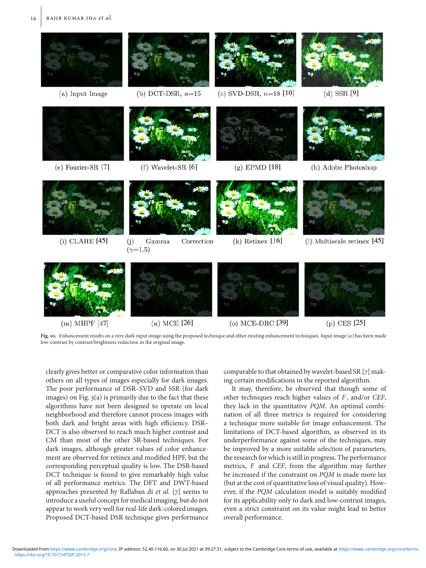

**Fig. 10.** Enhancement results on a very dark input image using the proposed technique and other existing enhancement techniques. Input image (*a*) has been made low-contrast by contrast/brightness reduction in the original image.

clearly gives better or comparative color information than others on all types of images especially for dark images. The poor performance of DSR–SVD and SSR (for dark images) on Fig.  $3(a)$  is primarily due to the fact that these algorithms have not been designed to operate on local neighborhood and therefore cannot process images with both dark and bright areas with high efficiency. DSR– DCT is also observed to reach much higher contrast and CM than most of the other SR-based techniques. For dark images, although greater values of color enhancement are observed for retinex and modified HPF, but the corresponding perceptual quality is low. The DSR-based DCT technique is found to give remarkably high value of all performance metrics. The DFT and DWT-based approaches presented by Rallaban di et al. [7] seems to introduce a useful concept for medical imaging, but do not appear to work very well for real-life dark-colored images. Proposed DCT-based DSR technique gives performance

comparable to that obtained by wavelet-based SR [7] making certain modifications in the reported algorithm.

It may, therefore, be observed that though some of other techniques reach higher values of *F* , and/or CEF, they lack in the quantitative PQM. An optimal combination of all three metrics is required for considering a technique more suitable for image enhancement. The limitations of DCT-based algorithm, as observed in its underperformance against some of the techniques, may be improved by a more suitable selection of parameters, the research for which is still in progress. The performance metrics, *F* and CEF, from the algorithm may further be increased if the constraint on PQM is made more lax (but at the cost of quantitative loss of visual quality). However, if the PQM calculation model is suitably modified for its applicability only to dark and low-contrast images, even a strict constraint on its value might lead to better overall performance.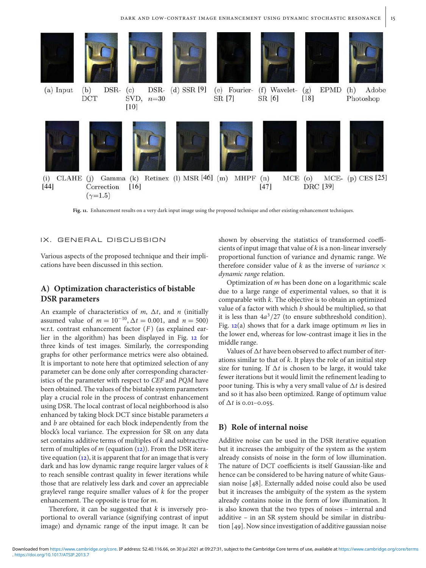

**Fig. 11.** Enhancement results on a very dark input image using the proposed technique and other existing enhancement techniques.

#### IX. GENERAL DISCUSSION

Various aspects of the proposed technique and their implications have been discussed in this section.

# **A) Optimization characteristics of bistable DSR parameters**

An example of characteristics of  $m$ ,  $\Delta t$ , and  $n$  (initially assumed value of  $m = 10^{-10}$ ,  $\Delta t = 0.001$ , and  $n = 500$ ) w.r.t. contrast enhancement factor (*F* ) (as explained earlier in the algorithm) has been displayed in Fig. 12 for three kinds of test images. Similarly, the corresponding graphs for other performance metrics were also obtained. It is important to note here that optimized selection of any parameter can be done only after corresponding characteristics of the parameter with respect to CEF and PQM have been obtained. The values of the bistable system parameters play a crucial role in the process of contrast enhancement using DSR. The local contrast of local neighborhood is also enhanced by taking block DCT since bistable parameters a and b are obtained for each block independently from the block's local variance. The expression for SR on any data set contains additive terms of multiples of *k* and subtractive term of multiples of *m* (equation (12)). From the DSR iterative equation  $(12)$ , it is apparent that for an image that is very dark and has low dynamic range require larger values of *k* to reach sensible contrast quality in fewer iterations while those that are relatively less dark and cover an appreciable graylevel range require smaller values of *k* for the proper enhancement. The opposite is true for *m*.

Therefore, it can be suggested that *k* is inversely proportional to overall variance (signifying contrast of input image) and dynamic range of the input image. It can be shown by observing the statistics of transformed coefficients of input image that value of *k* is a non-linear inversely proportional function of variance and dynamic range. We therefore consider value of  $k$  as the inverse of *variance*  $\times$ dynamic range relation.

Optimization of *m* has been done on a logarithmic scale due to a large range of experimental values, so that it is comparable with *k*. The objective is to obtain an optimized value of a factor with which *b* should be multiplied, so that it is less than  $4a^3/27$  (to ensure subthreshold condition). Fig. 12(a) shows that for a dark image optimum *m* lies in the lower end, whereas for low-contrast image it lies in the middle range.

Values of  $\Delta t$  have been observed to affect number of iterations similar to that of *k*. It plays the role of an initial step size for tuning. If  $\Delta t$  is chosen to be large, it would take fewer iterations but it would limit the refinement leading to poor tuning. This is why a very small value of  $\Delta t$  is desired and so it has also been optimized. Range of optimum value of  $\Delta t$  is 0.01–0.055.

## **B) Role of internal noise**

Additive noise can be used in the DSR iterative equation but it increases the ambiguity of the system as the system already consists of noise in the form of low illumination. The nature of DCT coefficients is itself Gaussian-like and hence can be considered to be having nature of white Gaussian noise [48]. Externally added noise could also be used but it increases the ambiguity of the system as the system already contains noise in the form of low illumination. It is also known that the two types of noises – internal and additive – in an SR system should be similar in distribution [49]. Now since investigation of additive gaussian noise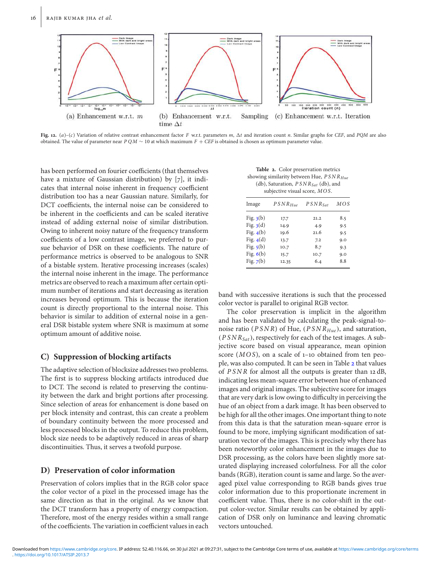

**Fig. 12.** (*a*)–(*c*) Variation of relative contrast enhancement factor *F* w.r.t. parameters *m*, *t* and iteration count *n*. Similar graphs for CEF, and PQM are also obtained. The value of parameter near *PQM* ∼ 10 at which maximum *F* + CEF is obtained is chosen as optimum parameter value.

has been performed on fourier coefficients (that themselves have a mixture of Gaussian distribution) by [7], it indicates that internal noise inherent in frequency coefficient distribution too has a near Gaussian nature. Similarly, for DCT coefficients, the internal noise can be considered to be inherent in the coefficients and can be scaled iterative instead of adding external noise of similar distribution. Owing to inherent noisy nature of the frequency transform coefficients of a low contrast image, we preferred to pursue behavior of DSR on these coefficients. The nature of performance metrics is observed to be analogous to SNR of a bistable system. Iterative processing increases (scales) the internal noise inherent in the image. The performance metrics are observed to reach a maximum after certain optimum number of iterations and start decreasing as iteration increases beyond optimum. This is because the iteration count is directly proportional to the internal noise. This behavior is similar to addition of external noise in a general DSR bistable system where SNR is maximum at some optimum amount of additive noise.

#### **C) Suppression of blocking artifacts**

The adaptive selection of blocksize addresses two problems. The first is to suppress blocking artifacts introduced due to DCT. The second is related to preserving the continuity between the dark and bright portions after processing. Since selection of areas for enhancement is done based on per block intensity and contrast, this can create a problem of boundary continuity between the more processed and less processed blocks in the output. To reduce this problem, block size needs to be adaptively reduced in areas of sharp discontinuities. Thus, it serves a twofold purpose.

#### **D) Preservation of color information**

Preservation of colors implies that in the RGB color space the color vector of a pixel in the processed image has the same direction as that in the original. As we know that the DCT transform has a property of energy compaction. Therefore, most of the energy resides within a small range of the coefficients. The variation in coefficient values in each

**Table 2.** Color preservation metrics showing similarity between Hue, *PSNRHue* (db), Saturation, *PSNRSat* (db), and subjective visual score, *MOS*.

| Image       | $PSNR_{Hue}$ | $PSNR_{Sat}$ | MOS |
|-------------|--------------|--------------|-----|
| Fig. $3(b)$ | 17.7         | 21.2         | 8.5 |
| Fig. $3(d)$ | 14.9         | 4.9          | 9.5 |
| Fig. $4(b)$ | 19.6         | 21.6         | 9.5 |
| Fig. $4(d)$ | 13.7         | 7.2          | 9.0 |
| Fig. $5(b)$ | 10.7         | 8.7          | 9.3 |
| Fig. $6(b)$ | 15.7         | 10.7         | 9.0 |
| Fig. $7(b)$ | 12.35        | 6.4          | 8.8 |
|             |              |              |     |

band with successive iterations is such that the processed color vector is parallel to original RGB vector.

The color preservation is implicit in the algorithm and has been validated by calculating the peak-signal-tonoise ratio (*PSNR*) of Hue, (*PSNRHue* ), and saturation, (*PSNRSat*), respectively for each of the test images. A subjective score based on visual appearance, mean opinion score (*MOS*), on a scale of 1–10 obtained from ten people, was also computed. It can be seen in Table 2 that values of *PSNR* for almost all the outputs is greater than 12 dB, indicating less mean-square error between hue of enhanced images and original images. The subjective score for images that are very dark is low owing to difficulty in perceiving the hue of an object from a dark image. It has been observed to be high for all the other images. One important thing to note from this data is that the saturation mean-square error is found to be more, implying significant modification of saturation vector of the images. This is precisely why there has been noteworthy color enhancement in the images due to DSR processing, as the colors have been slightly more saturated displaying increased colorfulness. For all the color bands (RGB), iteration count is same and large. So the averaged pixel value corresponding to RGB bands gives true color information due to this proportionate increment in coefficient value. Thus, there is no color-shift in the output color-vector. Similar results can be obtained by application of DSR only on luminance and leaving chromatic vectors untouched.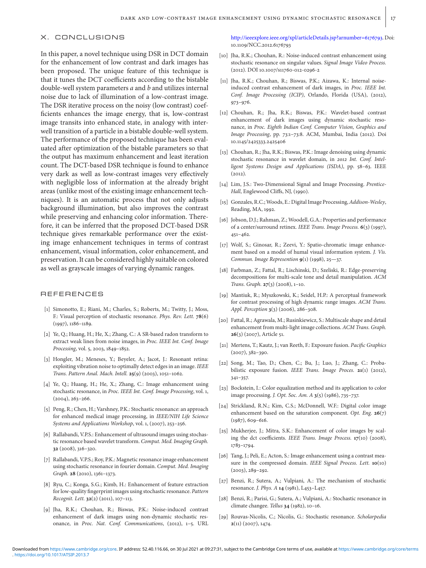#### X. CONCLUSIONS

In this paper, a novel technique using DSR in DCT domain for the enhancement of low contrast and dark images has been proposed. The unique feature of this technique is that it tunes the DCT coefficients according to the bistable double-well system parameters a and b and utilizes internal noise due to lack of illumination of a low-contrast image. The DSR iterative process on the noisy (low contrast) coefficients enhances the image energy, that is, low-contrast image transits into enhanced state, in analogy with interwell transition of a particle in a bistable double-well system. The performance of the proposed technique has been evaluated after optimization of the bistable parameters so that the output has maximum enhancement and least iteration count. The DCT-based DSR technique is found to enhance very dark as well as low-contrast images very effectively with negligible loss of information at the already bright areas (unlike most of the existing image enhancement techniques). It is an automatic process that not only adjusts background illumination, but also improves the contrast while preserving and enhancing color information. Therefore, it can be inferred that the proposed DCT-based DSR technique gives remarkable performance over the existing image enhancement techniques in terms of contrast enhancement, visual information, color enhancement, and preservation. It can be considered highly suitable on colored as well as grayscale images of varying dynamic ranges.

#### REFERENCES

- [1] Simonotto, E.; Riani, M.; Charles, S.; Roberts, M.; Twitty, J.; Moss, F.: Visual perception of stochastic resonance. Phys. Rev. Lett. **78**(6) (1997), 1186–1189.
- [2] Ye, Q.; Huang, H.; He, X.; Zhang, C.: A SR-based radon transform to extract weak lines from noise images, in Proc. IEEE Int. Conf. Image Processing, vol. 5, 2003, 1849-1852.
- [3] Hongler, M.; Meneses, Y.; Beyeler, A.; Jacot, J.: Resonant retina: exploiting vibration noise to optimally detect edges in an image. IEEE Trans. Pattern Anal. Mach. Intell. **25**(9) (2003), 1051–1062.
- [4] Ye, Q.; Huang, H.; He, X.; Zhang, C.: Image enhancement using stochastic resonance, in Proc. IEEE Int. Conf. Image Processing, vol. 1, (2004), 263–266.
- [5] Peng, R.; Chen, H.; Varshney, P.K.: Stochastic resonance: an approach for enhanced medical image processing, in IEEE/NIH Life Science Systems and Applications Workshop, vol. 1, (2007), 253–256.
- [6] Rallabandi, V.P.S.: Enhancement of ultrasound images using stochastic resonance based wavelet transform. Comput. Med. Imaging Graph. **32** (2008), 316–320.
- [7] Rallabandi, V.P.S.; Roy, P.K.: Magnetic resonance image enhancement using stochastic resonance in fourier domain. Comput. Med. Imaging Graph. **28** (2010), 1361–1373.
- [8] Ryu, C.; Konga, S.G.; Kimb, H.: Enhancement of feature extraction for low-quality fingerprint images using stochastic resonance. Pattern Recognit. Lett. **32**(2) (2011), 107–113.
- [9] Jha, R.K.; Chouhan, R.; Biswas, P.K.: Noise-induced contrast enhancement of dark images using non-dynamic stochastic resonance, in Proc. Nat. Conf. Communications, (2012), 1–5. URL

http://ieeexplore.ieee.org/xpl/articleDetails.jsp?arnumber=6176793. Doi: 10.1109/NCC.2012.6176793

- [10] Jha, R.K.; Chouhan, R.: Noise-induced contrast enhancement using stochastic resonance on singular values. Signal Image Video Process. (2012). DOI 10.1007/s11760-012-0296-2
- [11] Jha, R.K.; Chouhan, R.; Biswas, P.K.; Aizawa, K.: Internal noiseinduced contrast enhancement of dark images, in Proc. IEEE Int. Conf. Image Processing (ICIP), Orlando, Florida (USA), (2012), 973–976.
- [12] Chouhan, R.; Jha, R.K.; Biswas, P.K.: Wavelet-based contrast enhancement of dark images using dynamic stochastic resonance, in Proc. Eighth Indian Conf. Computer Vision, Graphics and Image Processing, pp. 73:1–73:8. ACM, Mumbai, India (2012). Doi 10.1145/2425333.2425406
- [13] Chouhan, R.; Jha, R.K.; Biswas, P.K.: Image denoising using dynamic stochastic resonance in wavelet domain, in 2012 Int. Conf. Intelligent Systems Design and Applications (ISDA), pp. 58–63. IEEE (2012).
- [14] Lim, J.S.: Two-Dimensional Signal and Image Processing. Prentice-Hall, Englewood Cliffs, NJ, (1990).
- [15] Gonzales, R.C.; Woods, E.: Digital Image Processing, Addison-Wesley, Reading, MA, 1992.
- [16] Jobson, D.J.; Rahman, Z.; Woodell, G.A.: Properties and performance of a center/surround retinex. IEEE Trans. Image Process. **6**(3) (1997), 451–462.
- [17] Wolf, S.; Ginosar, R.; Zeevi, Y.: Spatio-chromatic image enhancement based on a model of humal visual information system. J. Vis. Commun. Image Represention **9**(1) (1998), 25—37.
- [18] Farbman, Z.; Fattal, R.; Lischinski, D.; Szeliski, R.: Edge-preserving decompositions for multi-scale tone and detail manipulation. ACM Trans. Graph. **27**(3) (2008), 1–10.
- [19] Mantiuk, R.; Myszkowski, K.; Seidel, H.P.: A perceptual framework for contrast processing of high dynamic range images. ACM Trans. Appl. Perception **3**(3) (2006), 286–308.
- [20] Fattal, R.; Agrawala, M.; Rusinkiewicz, S.: Multiscale shape and detail enhancement from multi-light image collections. ACM Trans. Graph. **26**(3) (2007), Article 51.
- [21] Mertens, T.; Kautz, J.; van Reeth, F.: Exposure fusion. Pacific Graphics (2007), 382–390.
- [22] Song, M.; Tao, D.; Chen, C.; Bu, J.; Luo, J.; Zhang, C.: Probabilistic exposure fusion. IEEE Trans. Image Proces. **21**(1) (2012), 341–357.
- [23] Bockstein, I.: Color equalization method and its application to color image processing. J. Opt. Soc. Am. A **3**(5) (1986), 735–737.
- [24] Strickland, R.N.; Kim, C.S.; McDonnell, W.F.: Digital color image enhancement based on the saturation component. Opt. Eng. **26**(7) (1987), 609–616.
- [25] Mukherjee, J.; Mitra, S.K.: Enhancement of color images by scaling the dct coefficients. IEEE Trans. Image Process. **17**(10) (2008), 1783–1794.
- [26] Tang, J.; Peli, E.; Acton, S.: Image enhancement using a contrast measure in the compressed domain. IEEE Signal Process. Lett. **10**(10) (2003), 289–292.
- [27] Benzi, R.; Sutera, A.; Vulpiani, A.: The mechanism of stochastic resonance. J. Phys. A **14** (1981), L453–L457.
- [28] Benzi, R.; Parisi, G.; Sutera, A.; Vulpiani, A.: Stochastic resonance in climate changee. Tellus **34** (1982), 10–16.
- [29] Rouvas-Nicolis, C.; Nicolis, G.: Stochastic resonance. Scholarpedia **2**(11) (2007), 1474.